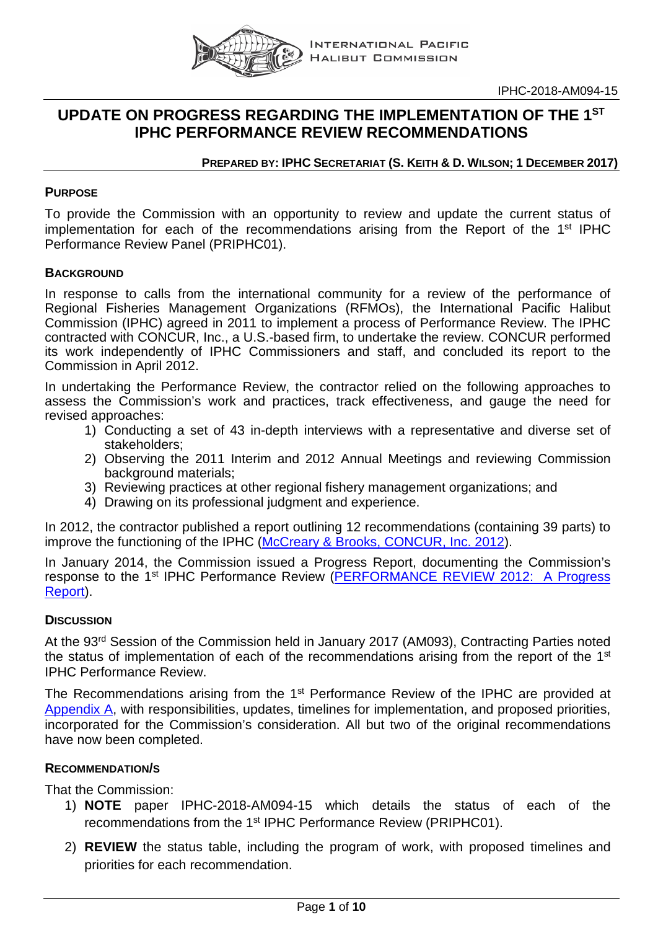

# **UPDATE ON PROGRESS REGARDING THE IMPLEMENTATION OF THE 1ST IPHC PERFORMANCE REVIEW RECOMMENDATIONS**

#### **PREPARED BY: IPHC SECRETARIAT (S. KEITH & D. WILSON; 1 DECEMBER 2017)**

#### **PURPOSE**

To provide the Commission with an opportunity to review and update the current status of implementation for each of the recommendations arising from the Report of the 1<sup>st</sup> IPHC Performance Review Panel (PRIPHC01).

#### **BACKGROUND**

In response to calls from the international community for a review of the performance of Regional Fisheries Management Organizations (RFMOs), the International Pacific Halibut Commission (IPHC) agreed in 2011 to implement a process of Performance Review. The IPHC contracted with CONCUR, Inc., a U.S.-based firm, to undertake the review. CONCUR performed its work independently of IPHC Commissioners and staff, and concluded its report to the Commission in April 2012.

In undertaking the Performance Review, the contractor relied on the following approaches to assess the Commission's work and practices, track effectiveness, and gauge the need for revised approaches:

- 1) Conducting a set of 43 in-depth interviews with a representative and diverse set of stakeholders;
- 2) Observing the 2011 Interim and 2012 Annual Meetings and reviewing Commission background materials;
- 3) Reviewing practices at other regional fishery management organizations; and
- 4) Drawing on its professional judgment and experience.

In 2012, the contractor published a report outlining 12 recommendations (containing 39 parts) to improve the functioning of the IPHC [\(McCreary & Brooks, CONCUR, Inc. 2012\)](https://www.google.com/url?sa=t&rct=j&q=&esrc=s&source=web&cd=1&cad=rja&uact=8&ved=0ahUKEwjn4qae8b_QAhVmImMKHTzAA1wQFggdMAA&url=http%3A%2F%2Fwww.iphc.int%2Fdocuments%2Freview%2FFINAL_IPHC_Performance_Review-April30.pdf&usg=AFQjCNEP6fr6IzzfFw4FpXnmSQE5o2EPsA&sig2=bs-P0RyOsFDm27TBglFFFA).

In January 2014, the Commission issued a Progress Report, documenting the Commission's response to the 1st IPHC Performance Review [\(PERFORMANCE REVIEW 2012: A Progress](https://www.google.com/url?sa=t&rct=j&q=&esrc=s&source=web&cd=2&cad=rja&uact=8&ved=0ahUKEwivi6WU87_QAhVO9WMKHZDJBIQQFggtMAE&url=http%3A%2F%2Fwww.iphc.int%2Fdocuments%2Freview%2FPerformancereviewprogressreportJan2014.pdf&usg=AFQjCNGka-_ap2cVHZWJ8Q7VRq3FutBWKg&sig2=ApvWpigXxI2gPw8HOnTmhg&bvm=bv.139782543,d.cGc)  [Report\)](https://www.google.com/url?sa=t&rct=j&q=&esrc=s&source=web&cd=2&cad=rja&uact=8&ved=0ahUKEwivi6WU87_QAhVO9WMKHZDJBIQQFggtMAE&url=http%3A%2F%2Fwww.iphc.int%2Fdocuments%2Freview%2FPerformancereviewprogressreportJan2014.pdf&usg=AFQjCNGka-_ap2cVHZWJ8Q7VRq3FutBWKg&sig2=ApvWpigXxI2gPw8HOnTmhg&bvm=bv.139782543,d.cGc).

#### **DISCUSSION**

At the 93<sup>rd</sup> Session of the Commission held in January 2017 (AM093), Contracting Parties noted the status of implementation of each of the recommendations arising from the report of the 1<sup>st</sup> IPHC Performance Review.

The Recommendations arising from the 1<sup>st</sup> Performance Review of the IPHC are provided at [Appendix A,](#page-2-0) with responsibilities, updates, timelines for implementation, and proposed priorities, incorporated for the Commission's consideration. All but two of the original recommendations have now been completed.

#### **RECOMMENDATION/S**

That the Commission:

- 1) **NOTE** paper IPHC-2018-AM094-15 which details the status of each of the recommendations from the 1<sup>st</sup> IPHC Performance Review (PRIPHC01).
- 2) **REVIEW** the status table, including the program of work, with proposed timelines and priorities for each recommendation.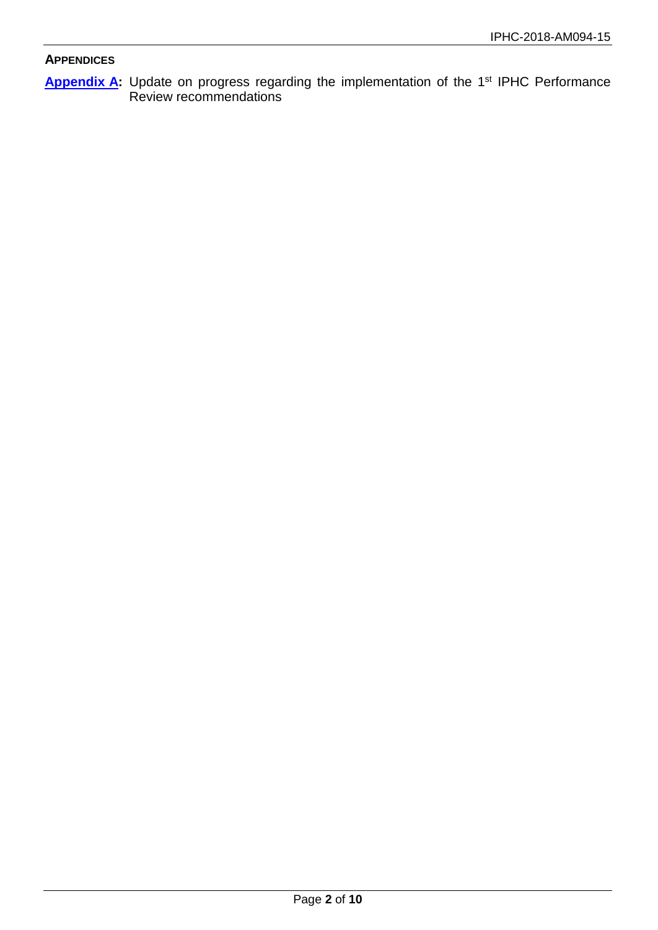#### **APPENDICES**

**[Appendix](#page-2-0) A:** Update on progress regarding the implementation of the 1st IPHC Performance Review recommendations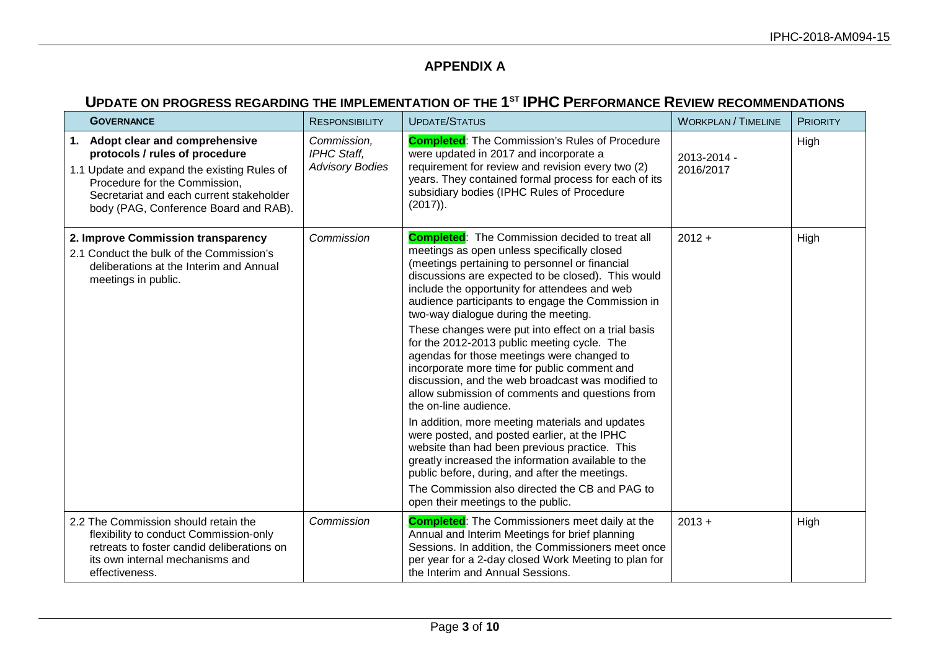### **APPENDIX A**

## **UPDATE ON PROGRESS REGARDING THE IMPLEMENTATION OF THE 1ST IPHC PERFORMANCE REVIEW RECOMMENDATIONS**

<span id="page-2-0"></span>

| <b>GOVERNANCE</b>                                                                                                                                                                                                                       | <b>RESPONSIBILITY</b>                                | <b>UPDATE/STATUS</b>                                                                                                                                                                                                                                                                                                                                                                                                                                                                                                                                           | <b>WORKPLAN / TIMELINE</b> | <b>PRIORITY</b> |
|-----------------------------------------------------------------------------------------------------------------------------------------------------------------------------------------------------------------------------------------|------------------------------------------------------|----------------------------------------------------------------------------------------------------------------------------------------------------------------------------------------------------------------------------------------------------------------------------------------------------------------------------------------------------------------------------------------------------------------------------------------------------------------------------------------------------------------------------------------------------------------|----------------------------|-----------------|
| 1. Adopt clear and comprehensive<br>protocols / rules of procedure<br>1.1 Update and expand the existing Rules of<br>Procedure for the Commission,<br>Secretariat and each current stakeholder<br>body (PAG, Conference Board and RAB). | Commission,<br>IPHC Staff,<br><b>Advisory Bodies</b> | <b>Completed:</b> The Commission's Rules of Procedure<br>were updated in 2017 and incorporate a<br>requirement for review and revision every two (2)<br>years. They contained formal process for each of its<br>subsidiary bodies (IPHC Rules of Procedure<br>$(2017)$ ).                                                                                                                                                                                                                                                                                      | 2013-2014 -<br>2016/2017   | High            |
| 2. Improve Commission transparency<br>2.1 Conduct the bulk of the Commission's<br>deliberations at the Interim and Annual<br>meetings in public.                                                                                        | Commission                                           | <b>Completed:</b> The Commission decided to treat all<br>meetings as open unless specifically closed<br>(meetings pertaining to personnel or financial<br>discussions are expected to be closed). This would<br>include the opportunity for attendees and web<br>audience participants to engage the Commission in<br>two-way dialogue during the meeting.<br>These changes were put into effect on a trial basis<br>for the 2012-2013 public meeting cycle. The<br>agendas for those meetings were changed to<br>incorporate more time for public comment and | $2012 +$                   | High            |
|                                                                                                                                                                                                                                         |                                                      | discussion, and the web broadcast was modified to<br>allow submission of comments and questions from<br>the on-line audience.<br>In addition, more meeting materials and updates<br>were posted, and posted earlier, at the IPHC<br>website than had been previous practice. This<br>greatly increased the information available to the<br>public before, during, and after the meetings.<br>The Commission also directed the CB and PAG to                                                                                                                    |                            |                 |
| 2.2 The Commission should retain the<br>flexibility to conduct Commission-only<br>retreats to foster candid deliberations on<br>its own internal mechanisms and<br>effectiveness.                                                       | Commission                                           | open their meetings to the public.<br><b>Completed:</b> The Commissioners meet daily at the<br>Annual and Interim Meetings for brief planning<br>Sessions. In addition, the Commissioners meet once<br>per year for a 2-day closed Work Meeting to plan for<br>the Interim and Annual Sessions.                                                                                                                                                                                                                                                                | $2013 +$                   | High            |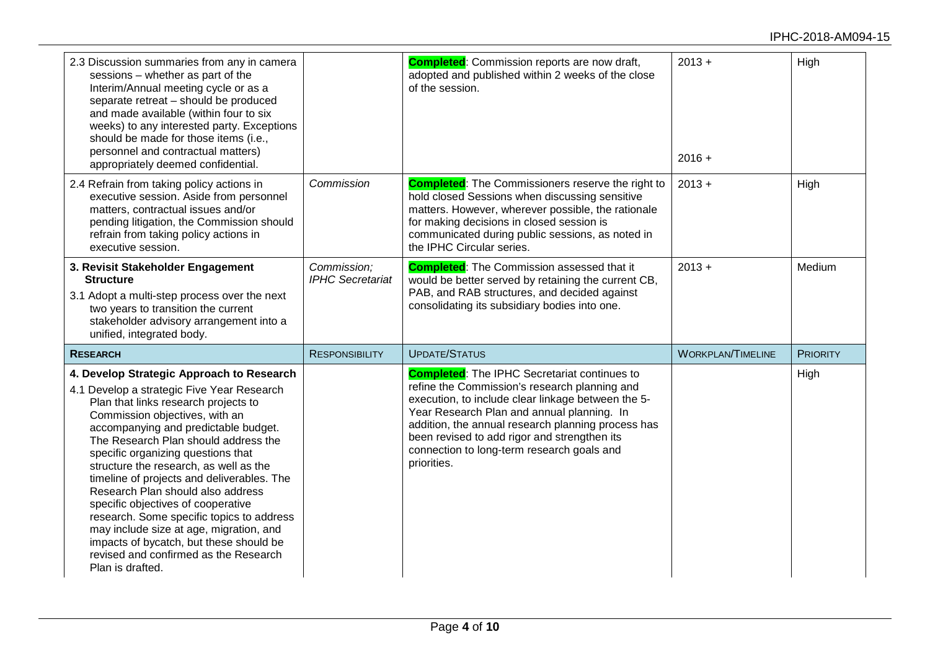| 2.3 Discussion summaries from any in camera<br>sessions - whether as part of the<br>Interim/Annual meeting cycle or as a<br>separate retreat - should be produced<br>and made available (within four to six<br>weeks) to any interested party. Exceptions<br>should be made for those items (i.e.,<br>personnel and contractual matters)<br>appropriately deemed confidential.                                                                                                                                                                                                                                                         |                                        | <b>Completed:</b> Commission reports are now draft,<br>adopted and published within 2 weeks of the close<br>of the session.                                                                                                                                                                                                                                                 | $2013 +$<br>$2016 +$     | High            |
|----------------------------------------------------------------------------------------------------------------------------------------------------------------------------------------------------------------------------------------------------------------------------------------------------------------------------------------------------------------------------------------------------------------------------------------------------------------------------------------------------------------------------------------------------------------------------------------------------------------------------------------|----------------------------------------|-----------------------------------------------------------------------------------------------------------------------------------------------------------------------------------------------------------------------------------------------------------------------------------------------------------------------------------------------------------------------------|--------------------------|-----------------|
| 2.4 Refrain from taking policy actions in<br>executive session. Aside from personnel<br>matters, contractual issues and/or<br>pending litigation, the Commission should<br>refrain from taking policy actions in<br>executive session.                                                                                                                                                                                                                                                                                                                                                                                                 | Commission                             | <b>Completed:</b> The Commissioners reserve the right to<br>hold closed Sessions when discussing sensitive<br>matters. However, wherever possible, the rationale<br>for making decisions in closed session is<br>communicated during public sessions, as noted in<br>the IPHC Circular series.                                                                              | $2013 +$                 | High            |
| 3. Revisit Stakeholder Engagement<br><b>Structure</b><br>3.1 Adopt a multi-step process over the next<br>two years to transition the current<br>stakeholder advisory arrangement into a<br>unified, integrated body.                                                                                                                                                                                                                                                                                                                                                                                                                   | Commission:<br><b>IPHC Secretariat</b> | <b>Completed:</b> The Commission assessed that it<br>would be better served by retaining the current CB,<br>PAB, and RAB structures, and decided against<br>consolidating its subsidiary bodies into one.                                                                                                                                                                   | $2013 +$                 | Medium          |
| <b>RESEARCH</b>                                                                                                                                                                                                                                                                                                                                                                                                                                                                                                                                                                                                                        | <b>RESPONSIBILITY</b>                  | <b>UPDATE/STATUS</b>                                                                                                                                                                                                                                                                                                                                                        | <b>WORKPLAN/TIMELINE</b> | <b>PRIORITY</b> |
| 4. Develop Strategic Approach to Research<br>4.1 Develop a strategic Five Year Research<br>Plan that links research projects to<br>Commission objectives, with an<br>accompanying and predictable budget.<br>The Research Plan should address the<br>specific organizing questions that<br>structure the research, as well as the<br>timeline of projects and deliverables. The<br>Research Plan should also address<br>specific objectives of cooperative<br>research. Some specific topics to address<br>may include size at age, migration, and<br>impacts of bycatch, but these should be<br>revised and confirmed as the Research |                                        | <b>Completed:</b> The IPHC Secretariat continues to<br>refine the Commission's research planning and<br>execution, to include clear linkage between the 5-<br>Year Research Plan and annual planning. In<br>addition, the annual research planning process has<br>been revised to add rigor and strengthen its<br>connection to long-term research goals and<br>priorities. |                          | High            |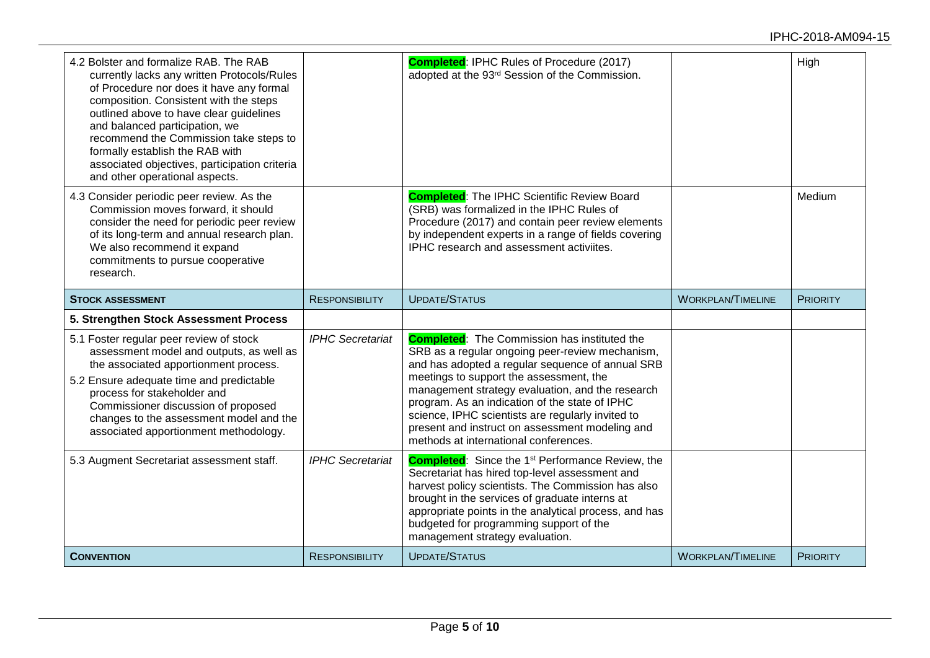| 4.2 Bolster and formalize RAB. The RAB<br>currently lacks any written Protocols/Rules<br>of Procedure nor does it have any formal<br>composition. Consistent with the steps<br>outlined above to have clear guidelines<br>and balanced participation, we<br>recommend the Commission take steps to<br>formally establish the RAB with<br>associated objectives, participation criteria<br>and other operational aspects. |                         | <b>Completed: IPHC Rules of Procedure (2017)</b><br>adopted at the 93rd Session of the Commission.                                                                                                                                                                                                                                                                                                                                                           |                          | High            |
|--------------------------------------------------------------------------------------------------------------------------------------------------------------------------------------------------------------------------------------------------------------------------------------------------------------------------------------------------------------------------------------------------------------------------|-------------------------|--------------------------------------------------------------------------------------------------------------------------------------------------------------------------------------------------------------------------------------------------------------------------------------------------------------------------------------------------------------------------------------------------------------------------------------------------------------|--------------------------|-----------------|
| 4.3 Consider periodic peer review. As the<br>Commission moves forward, it should<br>consider the need for periodic peer review<br>of its long-term and annual research plan.<br>We also recommend it expand<br>commitments to pursue cooperative<br>research.                                                                                                                                                            |                         | <b>Completed:</b> The IPHC Scientific Review Board<br>(SRB) was formalized in the IPHC Rules of<br>Procedure (2017) and contain peer review elements<br>by independent experts in a range of fields covering<br>IPHC research and assessment activiites.                                                                                                                                                                                                     |                          | Medium          |
| <b>STOCK ASSESSMENT</b>                                                                                                                                                                                                                                                                                                                                                                                                  | <b>RESPONSIBILITY</b>   | <b>UPDATE/STATUS</b>                                                                                                                                                                                                                                                                                                                                                                                                                                         | <b>WORKPLAN/TIMELINE</b> | <b>PRIORITY</b> |
| 5. Strengthen Stock Assessment Process                                                                                                                                                                                                                                                                                                                                                                                   |                         |                                                                                                                                                                                                                                                                                                                                                                                                                                                              |                          |                 |
| 5.1 Foster regular peer review of stock<br>assessment model and outputs, as well as<br>the associated apportionment process.<br>5.2 Ensure adequate time and predictable<br>process for stakeholder and<br>Commissioner discussion of proposed<br>changes to the assessment model and the<br>associated apportionment methodology.                                                                                       | <b>IPHC Secretariat</b> | <b>Completed:</b> The Commission has instituted the<br>SRB as a regular ongoing peer-review mechanism,<br>and has adopted a regular sequence of annual SRB<br>meetings to support the assessment, the<br>management strategy evaluation, and the research<br>program. As an indication of the state of IPHC<br>science, IPHC scientists are regularly invited to<br>present and instruct on assessment modeling and<br>methods at international conferences. |                          |                 |
| 5.3 Augment Secretariat assessment staff.                                                                                                                                                                                                                                                                                                                                                                                | <b>IPHC Secretariat</b> | <b>Completed:</b> Since the 1 <sup>st</sup> Performance Review, the<br>Secretariat has hired top-level assessment and<br>harvest policy scientists. The Commission has also<br>brought in the services of graduate interns at<br>appropriate points in the analytical process, and has<br>budgeted for programming support of the<br>management strategy evaluation.                                                                                         |                          |                 |
|                                                                                                                                                                                                                                                                                                                                                                                                                          |                         |                                                                                                                                                                                                                                                                                                                                                                                                                                                              |                          |                 |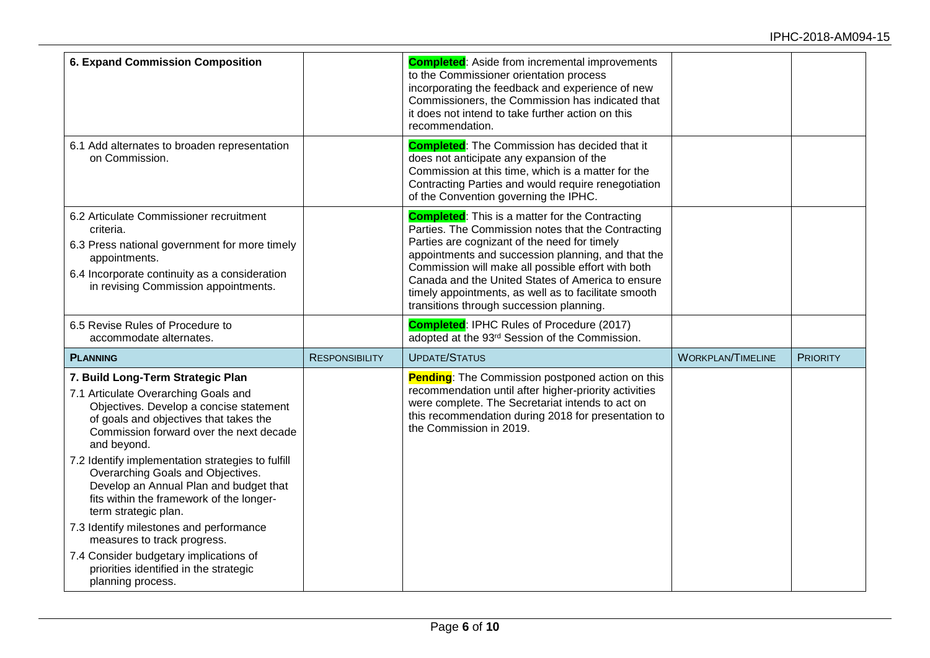| <b>6. Expand Commission Composition</b>                                                                                                                                                                                                                                                                                                                                                                                          |                       | <b>Completed:</b> Aside from incremental improvements<br>to the Commissioner orientation process<br>incorporating the feedback and experience of new<br>Commissioners, the Commission has indicated that<br>it does not intend to take further action on this<br>recommendation.                                                                                                                                                  |                          |                 |
|----------------------------------------------------------------------------------------------------------------------------------------------------------------------------------------------------------------------------------------------------------------------------------------------------------------------------------------------------------------------------------------------------------------------------------|-----------------------|-----------------------------------------------------------------------------------------------------------------------------------------------------------------------------------------------------------------------------------------------------------------------------------------------------------------------------------------------------------------------------------------------------------------------------------|--------------------------|-----------------|
| 6.1 Add alternates to broaden representation<br>on Commission.                                                                                                                                                                                                                                                                                                                                                                   |                       | <b>Completed:</b> The Commission has decided that it<br>does not anticipate any expansion of the<br>Commission at this time, which is a matter for the<br>Contracting Parties and would require renegotiation<br>of the Convention governing the IPHC.                                                                                                                                                                            |                          |                 |
| 6.2 Articulate Commissioner recruitment<br>criteria.<br>6.3 Press national government for more timely<br>appointments.<br>6.4 Incorporate continuity as a consideration<br>in revising Commission appointments.                                                                                                                                                                                                                  |                       | <b>Completed:</b> This is a matter for the Contracting<br>Parties. The Commission notes that the Contracting<br>Parties are cognizant of the need for timely<br>appointments and succession planning, and that the<br>Commission will make all possible effort with both<br>Canada and the United States of America to ensure<br>timely appointments, as well as to facilitate smooth<br>transitions through succession planning. |                          |                 |
| 6.5 Revise Rules of Procedure to<br>accommodate alternates.                                                                                                                                                                                                                                                                                                                                                                      |                       | <b>Completed: IPHC Rules of Procedure (2017)</b><br>adopted at the 93rd Session of the Commission.                                                                                                                                                                                                                                                                                                                                |                          |                 |
| <b>PLANNING</b>                                                                                                                                                                                                                                                                                                                                                                                                                  | <b>RESPONSIBILITY</b> | <b>UPDATE/STATUS</b>                                                                                                                                                                                                                                                                                                                                                                                                              | <b>WORKPLAN/TIMELINE</b> | <b>PRIORITY</b> |
| 7. Build Long-Term Strategic Plan<br>7.1 Articulate Overarching Goals and<br>Objectives. Develop a concise statement<br>of goals and objectives that takes the<br>Commission forward over the next decade<br>and beyond.<br>7.2 Identify implementation strategies to fulfill<br>Overarching Goals and Objectives.<br>Develop an Annual Plan and budget that<br>fits within the framework of the longer-<br>term strategic plan. |                       | <b>Pending:</b> The Commission postponed action on this<br>recommendation until after higher-priority activities<br>were complete. The Secretariat intends to act on<br>this recommendation during 2018 for presentation to<br>the Commission in 2019.                                                                                                                                                                            |                          |                 |
| 7.3 Identify milestones and performance<br>measures to track progress.<br>7.4 Consider budgetary implications of<br>priorities identified in the strategic<br>planning process.                                                                                                                                                                                                                                                  |                       |                                                                                                                                                                                                                                                                                                                                                                                                                                   |                          |                 |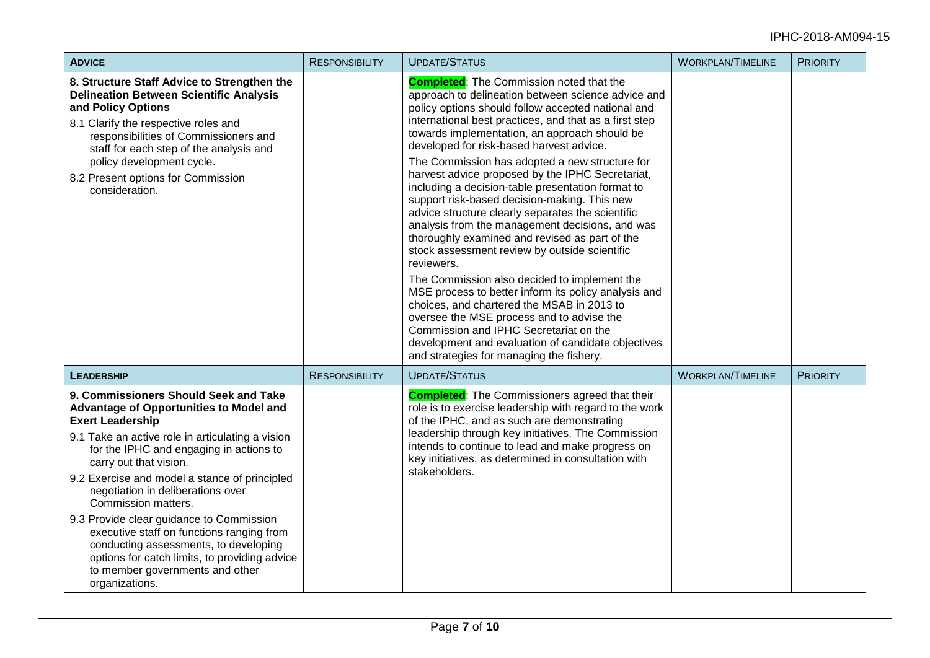#### IPHC-2018-AM094-15

| <b>ADVICE</b>                                                                                                                                                                                                                                                                                                                                                                                                                                                                                                                                                                             | <b>RESPONSIBILITY</b> | <b>UPDATE/STATUS</b>                                                                                                                                                                                                                                                                                                                                                                                                                                                                                                                                                                                                                                                                                                                                                                                                                                                                                                                                                                                                                                                                                  | <b>WORKPLAN/TIMELINE</b> | <b>PRIORITY</b> |
|-------------------------------------------------------------------------------------------------------------------------------------------------------------------------------------------------------------------------------------------------------------------------------------------------------------------------------------------------------------------------------------------------------------------------------------------------------------------------------------------------------------------------------------------------------------------------------------------|-----------------------|-------------------------------------------------------------------------------------------------------------------------------------------------------------------------------------------------------------------------------------------------------------------------------------------------------------------------------------------------------------------------------------------------------------------------------------------------------------------------------------------------------------------------------------------------------------------------------------------------------------------------------------------------------------------------------------------------------------------------------------------------------------------------------------------------------------------------------------------------------------------------------------------------------------------------------------------------------------------------------------------------------------------------------------------------------------------------------------------------------|--------------------------|-----------------|
| 8. Structure Staff Advice to Strengthen the<br><b>Delineation Between Scientific Analysis</b><br>and Policy Options<br>8.1 Clarify the respective roles and<br>responsibilities of Commissioners and<br>staff for each step of the analysis and<br>policy development cycle.<br>8.2 Present options for Commission<br>consideration.                                                                                                                                                                                                                                                      |                       | <b>Completed:</b> The Commission noted that the<br>approach to delineation between science advice and<br>policy options should follow accepted national and<br>international best practices, and that as a first step<br>towards implementation, an approach should be<br>developed for risk-based harvest advice.<br>The Commission has adopted a new structure for<br>harvest advice proposed by the IPHC Secretariat,<br>including a decision-table presentation format to<br>support risk-based decision-making. This new<br>advice structure clearly separates the scientific<br>analysis from the management decisions, and was<br>thoroughly examined and revised as part of the<br>stock assessment review by outside scientific<br>reviewers.<br>The Commission also decided to implement the<br>MSE process to better inform its policy analysis and<br>choices, and chartered the MSAB in 2013 to<br>oversee the MSE process and to advise the<br>Commission and IPHC Secretariat on the<br>development and evaluation of candidate objectives<br>and strategies for managing the fishery. |                          |                 |
| <b>LEADERSHIP</b>                                                                                                                                                                                                                                                                                                                                                                                                                                                                                                                                                                         | <b>RESPONSIBILITY</b> | <b>UPDATE/STATUS</b>                                                                                                                                                                                                                                                                                                                                                                                                                                                                                                                                                                                                                                                                                                                                                                                                                                                                                                                                                                                                                                                                                  | <b>WORKPLAN/TIMELINE</b> | <b>PRIORITY</b> |
| 9. Commissioners Should Seek and Take<br>Advantage of Opportunities to Model and<br><b>Exert Leadership</b><br>9.1 Take an active role in articulating a vision<br>for the IPHC and engaging in actions to<br>carry out that vision.<br>9.2 Exercise and model a stance of principled<br>negotiation in deliberations over<br>Commission matters.<br>9.3 Provide clear guidance to Commission<br>executive staff on functions ranging from<br>conducting assessments, to developing<br>options for catch limits, to providing advice<br>to member governments and other<br>organizations. |                       | <b>Completed:</b> The Commissioners agreed that their<br>role is to exercise leadership with regard to the work<br>of the IPHC, and as such are demonstrating<br>leadership through key initiatives. The Commission<br>intends to continue to lead and make progress on<br>key initiatives, as determined in consultation with<br>stakeholders.                                                                                                                                                                                                                                                                                                                                                                                                                                                                                                                                                                                                                                                                                                                                                       |                          |                 |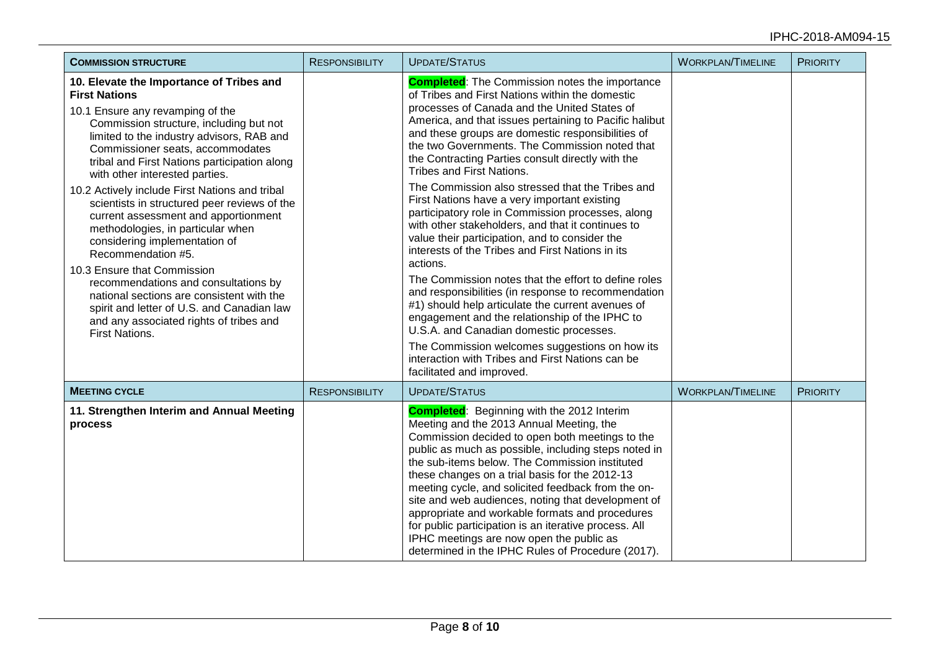#### IPHC-2018-AM094-15

| <b>COMMISSION STRUCTURE</b>                                                                                                                                                                                                                                                                                                                                                                                                                                                                                                                                                                                                                                                                                                                                                             | <b>RESPONSIBILITY</b> | <b>UPDATE/STATUS</b>                                                                                                                                                                                                                                                                                                                                                                                                                                                                                                                                                                                                                                                                                                                                                                                                                                                                                                                                                                                                                                                                                                                            | <b>WORKPLAN/TIMELINE</b> | <b>PRIORITY</b> |
|-----------------------------------------------------------------------------------------------------------------------------------------------------------------------------------------------------------------------------------------------------------------------------------------------------------------------------------------------------------------------------------------------------------------------------------------------------------------------------------------------------------------------------------------------------------------------------------------------------------------------------------------------------------------------------------------------------------------------------------------------------------------------------------------|-----------------------|-------------------------------------------------------------------------------------------------------------------------------------------------------------------------------------------------------------------------------------------------------------------------------------------------------------------------------------------------------------------------------------------------------------------------------------------------------------------------------------------------------------------------------------------------------------------------------------------------------------------------------------------------------------------------------------------------------------------------------------------------------------------------------------------------------------------------------------------------------------------------------------------------------------------------------------------------------------------------------------------------------------------------------------------------------------------------------------------------------------------------------------------------|--------------------------|-----------------|
| 10. Elevate the Importance of Tribes and<br><b>First Nations</b><br>10.1 Ensure any revamping of the<br>Commission structure, including but not<br>limited to the industry advisors, RAB and<br>Commissioner seats, accommodates<br>tribal and First Nations participation along<br>with other interested parties.<br>10.2 Actively include First Nations and tribal<br>scientists in structured peer reviews of the<br>current assessment and apportionment<br>methodologies, in particular when<br>considering implementation of<br>Recommendation #5.<br>10.3 Ensure that Commission<br>recommendations and consultations by<br>national sections are consistent with the<br>spirit and letter of U.S. and Canadian law<br>and any associated rights of tribes and<br>First Nations. |                       | <b>Completed:</b> The Commission notes the importance<br>of Tribes and First Nations within the domestic<br>processes of Canada and the United States of<br>America, and that issues pertaining to Pacific halibut<br>and these groups are domestic responsibilities of<br>the two Governments. The Commission noted that<br>the Contracting Parties consult directly with the<br>Tribes and First Nations.<br>The Commission also stressed that the Tribes and<br>First Nations have a very important existing<br>participatory role in Commission processes, along<br>with other stakeholders, and that it continues to<br>value their participation, and to consider the<br>interests of the Tribes and First Nations in its<br>actions.<br>The Commission notes that the effort to define roles<br>and responsibilities (in response to recommendation<br>#1) should help articulate the current avenues of<br>engagement and the relationship of the IPHC to<br>U.S.A. and Canadian domestic processes.<br>The Commission welcomes suggestions on how its<br>interaction with Tribes and First Nations can be<br>facilitated and improved. |                          |                 |
| <b>MEETING CYCLE</b>                                                                                                                                                                                                                                                                                                                                                                                                                                                                                                                                                                                                                                                                                                                                                                    | <b>RESPONSIBILITY</b> | <b>UPDATE/STATUS</b>                                                                                                                                                                                                                                                                                                                                                                                                                                                                                                                                                                                                                                                                                                                                                                                                                                                                                                                                                                                                                                                                                                                            | <b>WORKPLAN/TIMELINE</b> | <b>PRIORITY</b> |
| 11. Strengthen Interim and Annual Meeting<br>process                                                                                                                                                                                                                                                                                                                                                                                                                                                                                                                                                                                                                                                                                                                                    |                       | <b>Completed:</b> Beginning with the 2012 Interim<br>Meeting and the 2013 Annual Meeting, the<br>Commission decided to open both meetings to the<br>public as much as possible, including steps noted in<br>the sub-items below. The Commission instituted<br>these changes on a trial basis for the 2012-13<br>meeting cycle, and solicited feedback from the on-<br>site and web audiences, noting that development of<br>appropriate and workable formats and procedures<br>for public participation is an iterative process. All<br>IPHC meetings are now open the public as<br>determined in the IPHC Rules of Procedure (2017).                                                                                                                                                                                                                                                                                                                                                                                                                                                                                                           |                          |                 |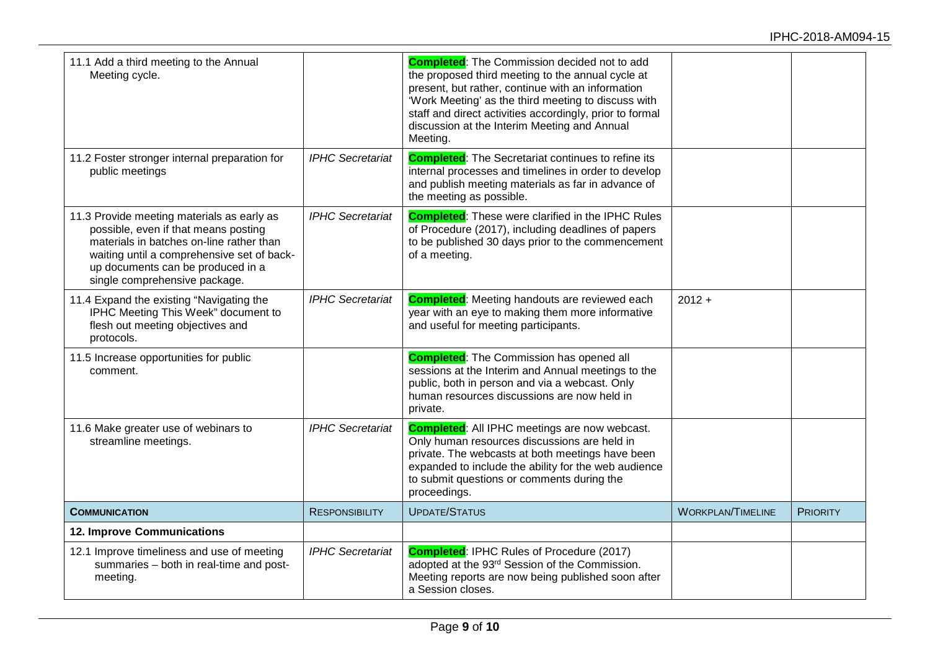| 11.1 Add a third meeting to the Annual<br>Meeting cycle.                                                                                                                                                                                           |                         | <b>Completed:</b> The Commission decided not to add<br>the proposed third meeting to the annual cycle at<br>present, but rather, continue with an information<br>'Work Meeting' as the third meeting to discuss with<br>staff and direct activities accordingly, prior to formal<br>discussion at the Interim Meeting and Annual<br>Meeting. |                          |                 |
|----------------------------------------------------------------------------------------------------------------------------------------------------------------------------------------------------------------------------------------------------|-------------------------|----------------------------------------------------------------------------------------------------------------------------------------------------------------------------------------------------------------------------------------------------------------------------------------------------------------------------------------------|--------------------------|-----------------|
| 11.2 Foster stronger internal preparation for<br>public meetings                                                                                                                                                                                   | <b>IPHC Secretariat</b> | <b>Completed:</b> The Secretariat continues to refine its<br>internal processes and timelines in order to develop<br>and publish meeting materials as far in advance of<br>the meeting as possible.                                                                                                                                          |                          |                 |
| 11.3 Provide meeting materials as early as<br>possible, even if that means posting<br>materials in batches on-line rather than<br>waiting until a comprehensive set of back-<br>up documents can be produced in a<br>single comprehensive package. | <b>IPHC Secretariat</b> | <b>Completed:</b> These were clarified in the IPHC Rules<br>of Procedure (2017), including deadlines of papers<br>to be published 30 days prior to the commencement<br>of a meeting.                                                                                                                                                         |                          |                 |
| 11.4 Expand the existing "Navigating the<br>IPHC Meeting This Week" document to<br>flesh out meeting objectives and<br>protocols.                                                                                                                  | <b>IPHC Secretariat</b> | <b>Completed:</b> Meeting handouts are reviewed each<br>year with an eye to making them more informative<br>and useful for meeting participants.                                                                                                                                                                                             | $2012 +$                 |                 |
| 11.5 Increase opportunities for public<br>comment.                                                                                                                                                                                                 |                         | <b>Completed:</b> The Commission has opened all<br>sessions at the Interim and Annual meetings to the<br>public, both in person and via a webcast. Only<br>human resources discussions are now held in<br>private.                                                                                                                           |                          |                 |
| 11.6 Make greater use of webinars to<br>streamline meetings.                                                                                                                                                                                       | <b>IPHC Secretariat</b> | <b>Completed:</b> All IPHC meetings are now webcast.<br>Only human resources discussions are held in<br>private. The webcasts at both meetings have been<br>expanded to include the ability for the web audience<br>to submit questions or comments during the<br>proceedings.                                                               |                          |                 |
| <b>COMMUNICATION</b>                                                                                                                                                                                                                               | <b>RESPONSIBILITY</b>   | <b>UPDATE/STATUS</b>                                                                                                                                                                                                                                                                                                                         | <b>WORKPLAN/TIMELINE</b> | <b>PRIORITY</b> |
| 12. Improve Communications                                                                                                                                                                                                                         |                         |                                                                                                                                                                                                                                                                                                                                              |                          |                 |
| 12.1 Improve timeliness and use of meeting<br>summaries - both in real-time and post-<br>meeting.                                                                                                                                                  | <b>IPHC Secretariat</b> | <b>Completed: IPHC Rules of Procedure (2017)</b><br>adopted at the 93rd Session of the Commission.<br>Meeting reports are now being published soon after<br>a Session closes.                                                                                                                                                                |                          |                 |